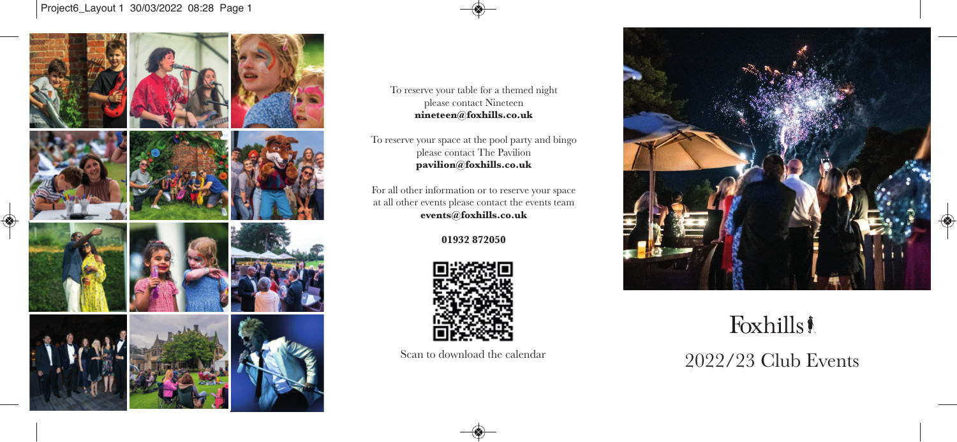## Project6\_Layout 1 30/03/2022 08:28 Page 1



To reserve your table for a themed night please contact Nineteen **nineteen@foxhills.co.uk**

To reserve your space at the pool party and bingo please contact The Pavilion **pavilion@foxhills.co.uk**

 at all other events please contact the events team For all other information or to reserve your space **events@foxhills.co.uk**

**01932 872050**



Scan to download the calendar



Foxhills! 2022/23 Club Events